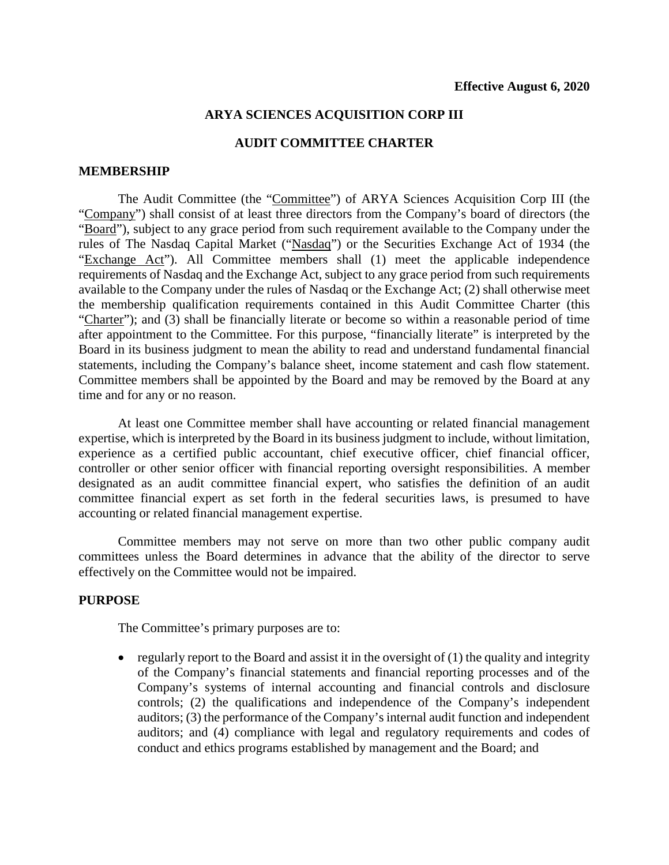## **ARYA SCIENCES ACQUISITION CORP III**

## **AUDIT COMMITTEE CHARTER**

### **MEMBERSHIP**

The Audit Committee (the "Committee") of ARYA Sciences Acquisition Corp III (the "Company") shall consist of at least three directors from the Company's board of directors (the "Board"), subject to any grace period from such requirement available to the Company under the rules of The Nasdaq Capital Market ("Nasdaq") or the Securities Exchange Act of 1934 (the "Exchange Act"). All Committee members shall (1) meet the applicable independence requirements of Nasdaq and the Exchange Act, subject to any grace period from such requirements available to the Company under the rules of Nasdaq or the Exchange Act; (2) shall otherwise meet the membership qualification requirements contained in this Audit Committee Charter (this "Charter"); and (3) shall be financially literate or become so within a reasonable period of time after appointment to the Committee. For this purpose, "financially literate" is interpreted by the Board in its business judgment to mean the ability to read and understand fundamental financial statements, including the Company's balance sheet, income statement and cash flow statement. Committee members shall be appointed by the Board and may be removed by the Board at any time and for any or no reason.

At least one Committee member shall have accounting or related financial management expertise, which is interpreted by the Board in its business judgment to include, without limitation, experience as a certified public accountant, chief executive officer, chief financial officer, controller or other senior officer with financial reporting oversight responsibilities. A member designated as an audit committee financial expert, who satisfies the definition of an audit committee financial expert as set forth in the federal securities laws, is presumed to have accounting or related financial management expertise.

Committee members may not serve on more than two other public company audit committees unless the Board determines in advance that the ability of the director to serve effectively on the Committee would not be impaired.

### **PURPOSE**

The Committee's primary purposes are to:

• regularly report to the Board and assist it in the oversight of  $(1)$  the quality and integrity of the Company's financial statements and financial reporting processes and of the Company's systems of internal accounting and financial controls and disclosure controls; (2) the qualifications and independence of the Company's independent auditors; (3) the performance of the Company's internal audit function and independent auditors; and (4) compliance with legal and regulatory requirements and codes of conduct and ethics programs established by management and the Board; and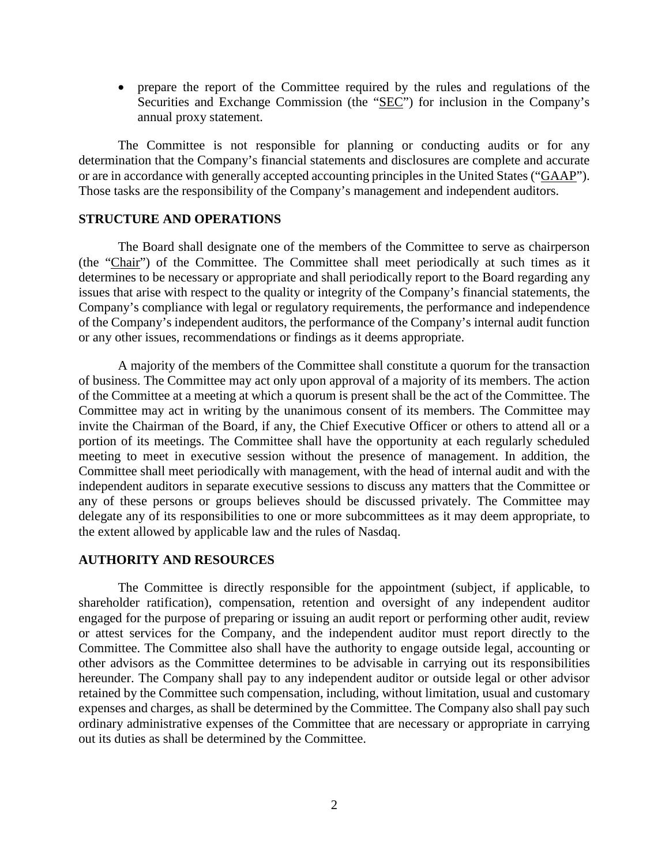• prepare the report of the Committee required by the rules and regulations of the Securities and Exchange Commission (the "SEC") for inclusion in the Company's annual proxy statement.

The Committee is not responsible for planning or conducting audits or for any determination that the Company's financial statements and disclosures are complete and accurate or are in accordance with generally accepted accounting principles in the United States ("GAAP"). Those tasks are the responsibility of the Company's management and independent auditors.

### **STRUCTURE AND OPERATIONS**

The Board shall designate one of the members of the Committee to serve as chairperson (the "Chair") of the Committee. The Committee shall meet periodically at such times as it determines to be necessary or appropriate and shall periodically report to the Board regarding any issues that arise with respect to the quality or integrity of the Company's financial statements, the Company's compliance with legal or regulatory requirements, the performance and independence of the Company's independent auditors, the performance of the Company's internal audit function or any other issues, recommendations or findings as it deems appropriate.

A majority of the members of the Committee shall constitute a quorum for the transaction of business. The Committee may act only upon approval of a majority of its members. The action of the Committee at a meeting at which a quorum is present shall be the act of the Committee. The Committee may act in writing by the unanimous consent of its members. The Committee may invite the Chairman of the Board, if any, the Chief Executive Officer or others to attend all or a portion of its meetings. The Committee shall have the opportunity at each regularly scheduled meeting to meet in executive session without the presence of management. In addition, the Committee shall meet periodically with management, with the head of internal audit and with the independent auditors in separate executive sessions to discuss any matters that the Committee or any of these persons or groups believes should be discussed privately. The Committee may delegate any of its responsibilities to one or more subcommittees as it may deem appropriate, to the extent allowed by applicable law and the rules of Nasdaq.

#### **AUTHORITY AND RESOURCES**

The Committee is directly responsible for the appointment (subject, if applicable, to shareholder ratification), compensation, retention and oversight of any independent auditor engaged for the purpose of preparing or issuing an audit report or performing other audit, review or attest services for the Company, and the independent auditor must report directly to the Committee. The Committee also shall have the authority to engage outside legal, accounting or other advisors as the Committee determines to be advisable in carrying out its responsibilities hereunder. The Company shall pay to any independent auditor or outside legal or other advisor retained by the Committee such compensation, including, without limitation, usual and customary expenses and charges, as shall be determined by the Committee. The Company also shall pay such ordinary administrative expenses of the Committee that are necessary or appropriate in carrying out its duties as shall be determined by the Committee.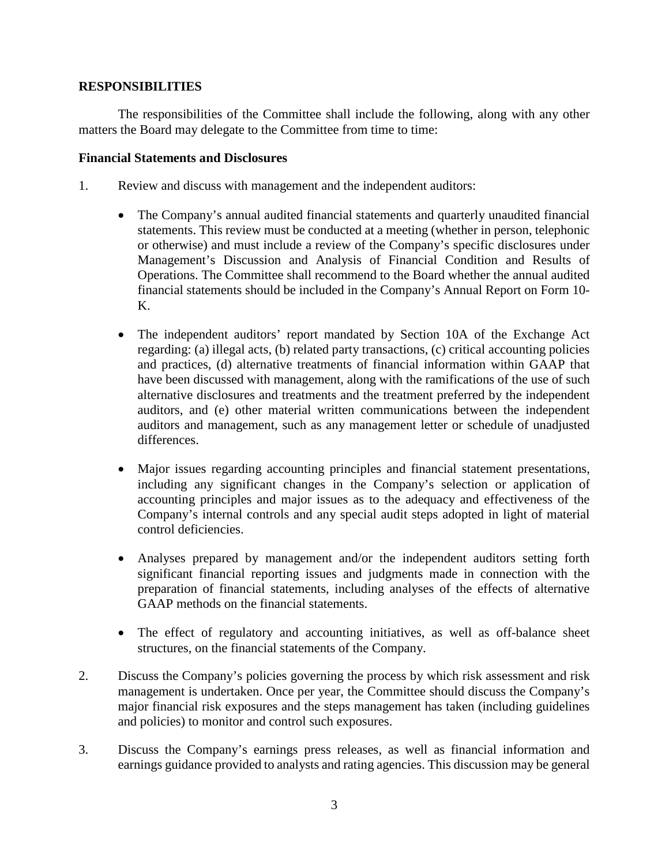# **RESPONSIBILITIES**

The responsibilities of the Committee shall include the following, along with any other matters the Board may delegate to the Committee from time to time:

## **Financial Statements and Disclosures**

- 1. Review and discuss with management and the independent auditors:
	- The Company's annual audited financial statements and quarterly unaudited financial statements. This review must be conducted at a meeting (whether in person, telephonic or otherwise) and must include a review of the Company's specific disclosures under Management's Discussion and Analysis of Financial Condition and Results of Operations. The Committee shall recommend to the Board whether the annual audited financial statements should be included in the Company's Annual Report on Form 10- K.
	- The independent auditors' report mandated by Section 10A of the Exchange Act regarding: (a) illegal acts, (b) related party transactions, (c) critical accounting policies and practices, (d) alternative treatments of financial information within GAAP that have been discussed with management, along with the ramifications of the use of such alternative disclosures and treatments and the treatment preferred by the independent auditors, and (e) other material written communications between the independent auditors and management, such as any management letter or schedule of unadjusted differences.
	- Major issues regarding accounting principles and financial statement presentations, including any significant changes in the Company's selection or application of accounting principles and major issues as to the adequacy and effectiveness of the Company's internal controls and any special audit steps adopted in light of material control deficiencies.
	- Analyses prepared by management and/or the independent auditors setting forth significant financial reporting issues and judgments made in connection with the preparation of financial statements, including analyses of the effects of alternative GAAP methods on the financial statements.
	- The effect of regulatory and accounting initiatives, as well as off-balance sheet structures, on the financial statements of the Company.
- 2. Discuss the Company's policies governing the process by which risk assessment and risk management is undertaken. Once per year, the Committee should discuss the Company's major financial risk exposures and the steps management has taken (including guidelines and policies) to monitor and control such exposures.
- 3. Discuss the Company's earnings press releases, as well as financial information and earnings guidance provided to analysts and rating agencies. This discussion may be general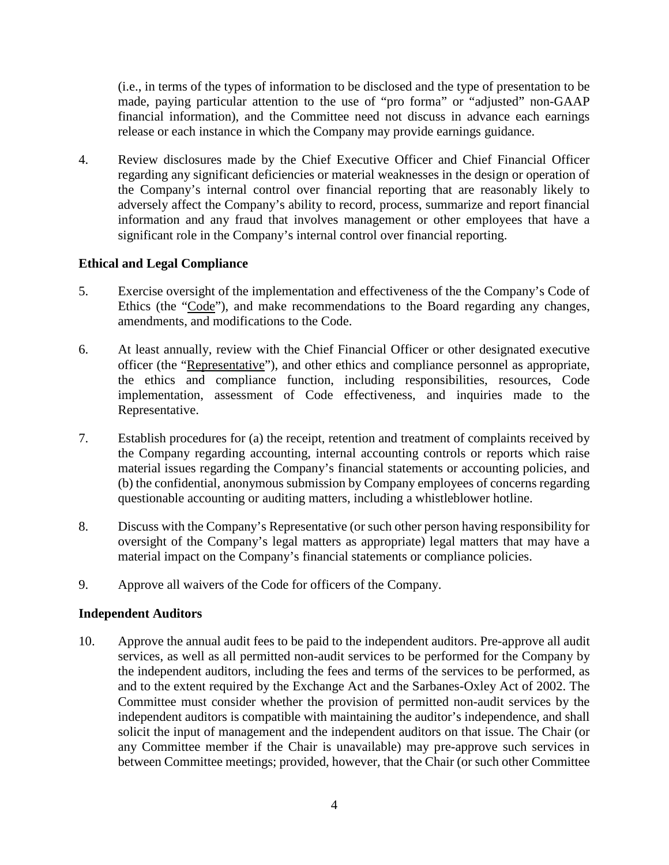(i.e., in terms of the types of information to be disclosed and the type of presentation to be made, paying particular attention to the use of "pro forma" or "adjusted" non-GAAP financial information), and the Committee need not discuss in advance each earnings release or each instance in which the Company may provide earnings guidance.

4. Review disclosures made by the Chief Executive Officer and Chief Financial Officer regarding any significant deficiencies or material weaknesses in the design or operation of the Company's internal control over financial reporting that are reasonably likely to adversely affect the Company's ability to record, process, summarize and report financial information and any fraud that involves management or other employees that have a significant role in the Company's internal control over financial reporting.

# **Ethical and Legal Compliance**

- 5. Exercise oversight of the implementation and effectiveness of the the Company's Code of Ethics (the "Code"), and make recommendations to the Board regarding any changes, amendments, and modifications to the Code.
- 6. At least annually, review with the Chief Financial Officer or other designated executive officer (the "Representative"), and other ethics and compliance personnel as appropriate, the ethics and compliance function, including responsibilities, resources, Code implementation, assessment of Code effectiveness, and inquiries made to the Representative.
- 7. Establish procedures for (a) the receipt, retention and treatment of complaints received by the Company regarding accounting, internal accounting controls or reports which raise material issues regarding the Company's financial statements or accounting policies, and (b) the confidential, anonymous submission by Company employees of concerns regarding questionable accounting or auditing matters, including a whistleblower hotline.
- 8. Discuss with the Company's Representative (or such other person having responsibility for oversight of the Company's legal matters as appropriate) legal matters that may have a material impact on the Company's financial statements or compliance policies.
- 9. Approve all waivers of the Code for officers of the Company.

## **Independent Auditors**

10. Approve the annual audit fees to be paid to the independent auditors. Pre-approve all audit services, as well as all permitted non-audit services to be performed for the Company by the independent auditors, including the fees and terms of the services to be performed, as and to the extent required by the Exchange Act and the Sarbanes-Oxley Act of 2002. The Committee must consider whether the provision of permitted non-audit services by the independent auditors is compatible with maintaining the auditor's independence, and shall solicit the input of management and the independent auditors on that issue. The Chair (or any Committee member if the Chair is unavailable) may pre-approve such services in between Committee meetings; provided, however, that the Chair (or such other Committee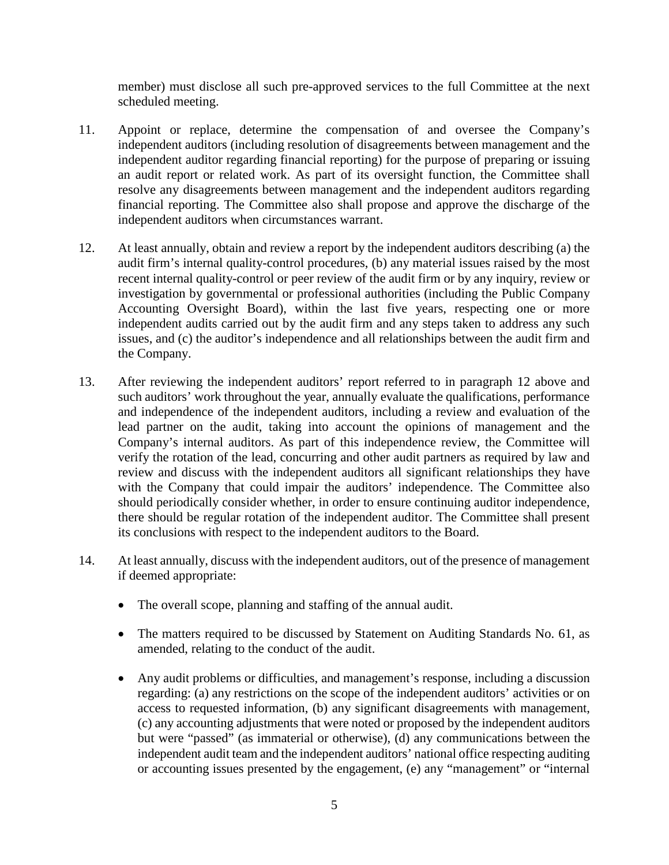member) must disclose all such pre-approved services to the full Committee at the next scheduled meeting.

- 11. Appoint or replace, determine the compensation of and oversee the Company's independent auditors (including resolution of disagreements between management and the independent auditor regarding financial reporting) for the purpose of preparing or issuing an audit report or related work. As part of its oversight function, the Committee shall resolve any disagreements between management and the independent auditors regarding financial reporting. The Committee also shall propose and approve the discharge of the independent auditors when circumstances warrant.
- 12. At least annually, obtain and review a report by the independent auditors describing (a) the audit firm's internal quality-control procedures, (b) any material issues raised by the most recent internal quality-control or peer review of the audit firm or by any inquiry, review or investigation by governmental or professional authorities (including the Public Company Accounting Oversight Board), within the last five years, respecting one or more independent audits carried out by the audit firm and any steps taken to address any such issues, and (c) the auditor's independence and all relationships between the audit firm and the Company.
- 13. After reviewing the independent auditors' report referred to in paragraph 12 above and such auditors' work throughout the year, annually evaluate the qualifications, performance and independence of the independent auditors, including a review and evaluation of the lead partner on the audit, taking into account the opinions of management and the Company's internal auditors. As part of this independence review, the Committee will verify the rotation of the lead, concurring and other audit partners as required by law and review and discuss with the independent auditors all significant relationships they have with the Company that could impair the auditors' independence. The Committee also should periodically consider whether, in order to ensure continuing auditor independence, there should be regular rotation of the independent auditor. The Committee shall present its conclusions with respect to the independent auditors to the Board.
- 14. At least annually, discuss with the independent auditors, out of the presence of management if deemed appropriate:
	- The overall scope, planning and staffing of the annual audit.
	- The matters required to be discussed by Statement on Auditing Standards No. 61, as amended, relating to the conduct of the audit.
	- Any audit problems or difficulties, and management's response, including a discussion regarding: (a) any restrictions on the scope of the independent auditors' activities or on access to requested information, (b) any significant disagreements with management, (c) any accounting adjustments that were noted or proposed by the independent auditors but were "passed" (as immaterial or otherwise), (d) any communications between the independent audit team and the independent auditors' national office respecting auditing or accounting issues presented by the engagement, (e) any "management" or "internal